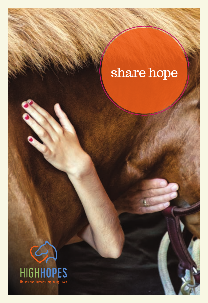# share hope

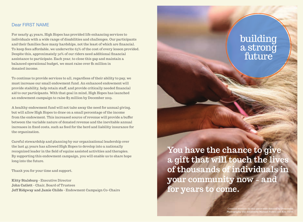## Dear FIRST NAME

For nearly 45 years, High Hopes has provided life enhancing services to individuals with a wide range of disabilities and challenges. Our participants and their families face many hardships, not the least of which are financial. To keep fees affordable, we underwrite 65% of the cost of every lesson provided. Despite this, approximately 50% of our riders need additional financial assistance to participate. Each year, to close this gap and maintain a balanced operational budget, we must raise over \$1 million in donated income.

To continue to provide services to all, regardless of their ability to pay, we must increase our small endowment fund. An enhanced endowment will provide stability, help retain staff, and provide critically needed financial aid to our participants. With that goal in mind, High Hopes has launched an endowment campaign to raise \$3 million by December 2019.

A healthy endowment fund will not take away the need for annual giving, but will allow High Hopes to draw on a small percentage of the income from the endowment. This increased source of revenue will provide a buffer between the variable nature of donated revenue and the inevitable annual increases in fixed costs, such as feed for the herd and liability insurance for the organization.

Careful stewardship and planning by our organizational leadership over the last 45 years has allowed High Hopes to develop into a nationally recognized leader in the field of equine assisted activities and therapies. By supporting this endowment campaign, you will enable us to share hope long into the future.

Thank you for your time and support.

**Kitty Stalsburg -** Executive Director **John Catlett -** Chair, Board of Trustees **Jeff Ridgway and Jamie Childs -** Endowment Campaign Co-Chairs

**You have the chance to give a gift that will touch the lives of thousands of individuals in your community now − and for years to come.**

> Creative services for this piece were donated by Overabove. Photography was donated by Michael Fanelli and Kim Tyler.

building

a strong

future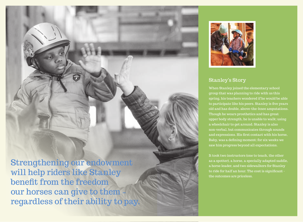Strengthening our endowment will help riders like Stanley benefit from the freedom our horses can give to them **−** regardless of their ability to pay.



## Stanley's Story

When Stanley joined the elementary school group that was planning to ride with us this spring, his teachers wondered if he would be able to participate like his peers. Stanley is five years old and has double, above-the-knee amputations. Though he wears prosthetics and has great upper body strength, he is unable to walk; using a wheelchair to get around. Stanley is also non-verbal, but communicates through sounds and expressions. His first contact with his horse, Baby, was a defining moment; for six weeks we saw him progress beyond all expectations.

It took two instructors (one to teach, the other as a spotter), a horse, a specially adapted saddle, a horse leader, and two sidewalkers for Stanley to ride for half an hour. The cost is significant the outcomes are priceless.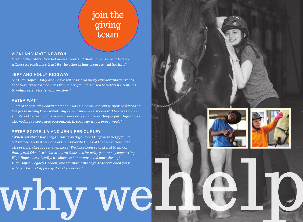## join the giving team

#### VICKI AND MATT NEWTON

"Seeing the interaction between a rider and their horse is a privilege to witness as each one's trust for the other brings progress and healing."

### JEFF AND HOLLY RIDGWAY

"At High Hopes, Holly and I have witnessed so many extraordinary events that have transformed lives from old to young, abused to veterans, families to volunteers. **That's why we give."**"

#### PETER WATT

"Before becoming a board member, I was a sidewalker and witnessed firsthand the joy resulting from something as technical as a successful half-seat or as simple as the feeling of a warm breeze on a spring day. Simply put, High Hopes allowed me to see grace personified, in so many ways, every week."

### PETER SCOTELLA AND JENNIFER CURLEY

"When our three boys began riding at High Hopes they were very young, but immediately it was one of their favorite times of the week. Now, if at all possible, they love it even more! We have been so grateful to all our family and friends who have shown their love for us by generously supporting High Hopes. As a family, we chose to honor our loved ones through High Hopes' Legacy Garden, and we thank the boys' teachers each year with an Annual Appeal gift in their honor."

why well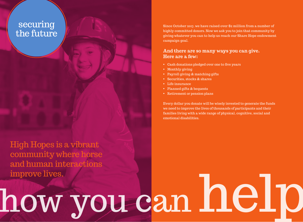## securing the future

High Hopes is a vibrant community where horse and human interactions improve lives.

Since October 2017, we have raised over \$2 million from a number of highly committed donors. Now we ask you to join that community by giving whatever you can to help us reach our Share Hope endowment campaign goal.

## **And there are so many ways you can give. Here are a few:**

- Cash donations pledged over one to five years
- Monthly giving
- Payroll giving & matching gifts
- Securities, stocks & shares
- Life insurance
- Planned gifts & bequests
- Retirement or pension plans

Every dollar you donate will be wisely invested to generate the funds we need to improve the lives of thousands of participants and their families living with a wide range of physical, cognitive, social and emotional disabilities.

# how you can help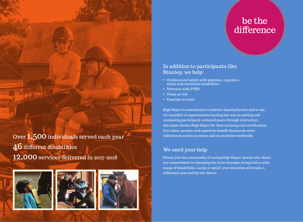## be the difference

## In addition to participants like Stanley, we help:

- Children and adults with physical, cognitive, social and emotional disabilities
- Veterans with PTSD
- Teens at risk
- Families in crisis

High Hopes is committed to evidence-based practice and is one of a handful of organizations leading the way in setting and evaluating participant-centered goals through instructors who have chosen High Hopes for their training and certification. Our ethos, passion and expertise benefit thousands more individuals across 29 states and 22 countries worldwide.

## We need your help

Please join the community of caring High Hopes' donors who share our commitment to changing the lives of people living with a wide range of disabilities. Large or small, your donation will make a difference now and for the future.

Over 1,500 individuals served each year 46 different disabilities 12,000 services delivered in 2017-2018